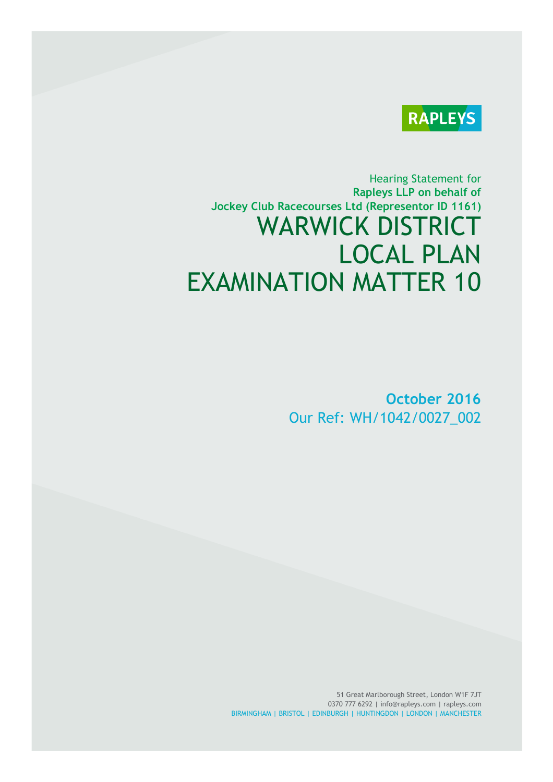

# Hearing Statement for **Rapleys LLP on behalf of Jockey Club Racecourses Ltd (Representor ID 1161)** WARWICK DISTRICT LOCAL PLAN EXAMINATION MATTER 10

**October 2016** Our Ref: WH/1042/0027\_002

51 Great Marlborough Street, London W1F 7JT 0370 777 6292 | info@rapleys.com | rapleys.com BIRMINGHAM | BRISTOL | EDINBURGH | HUNTINGDON | LONDON | MANCHESTER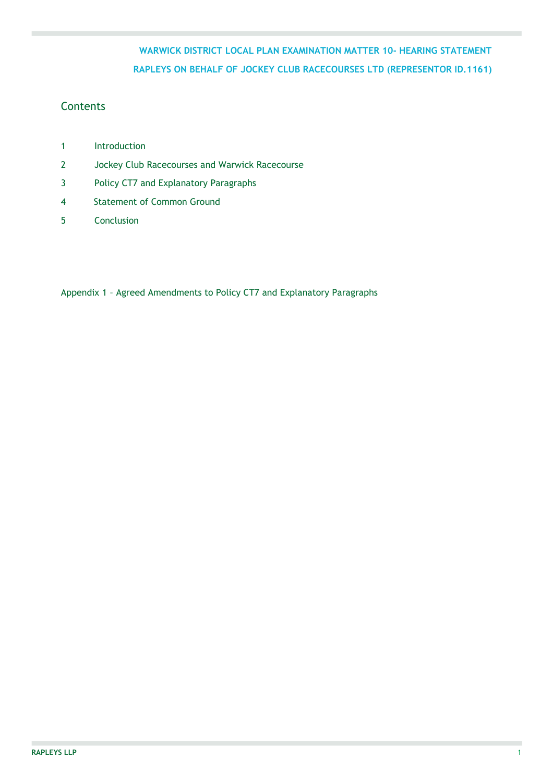### **Contents**

- 1 Introduction
- 2 Jockey Club Racecourses and Warwick Racecourse
- 3 Policy CT7 and Explanatory Paragraphs
- 4 Statement of Common Ground
- 5 Conclusion

Appendix 1 – Agreed Amendments to Policy CT7 and Explanatory Paragraphs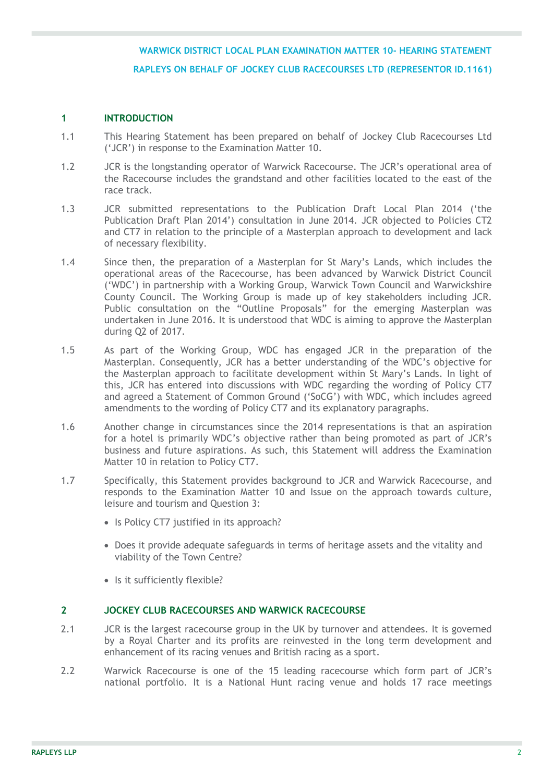### **1 INTRODUCTION**

- 1.1 This Hearing Statement has been prepared on behalf of Jockey Club Racecourses Ltd ('JCR') in response to the Examination Matter 10.
- 1.2 JCR is the longstanding operator of Warwick Racecourse. The JCR's operational area of the Racecourse includes the grandstand and other facilities located to the east of the race track.
- 1.3 JCR submitted representations to the Publication Draft Local Plan 2014 ('the Publication Draft Plan 2014') consultation in June 2014. JCR objected to Policies CT2 and CT7 in relation to the principle of a Masterplan approach to development and lack of necessary flexibility.
- 1.4 Since then, the preparation of a Masterplan for St Mary's Lands, which includes the operational areas of the Racecourse, has been advanced by Warwick District Council ('WDC') in partnership with a Working Group, Warwick Town Council and Warwickshire County Council. The Working Group is made up of key stakeholders including JCR. Public consultation on the "Outline Proposals" for the emerging Masterplan was undertaken in June 2016. It is understood that WDC is aiming to approve the Masterplan during Q2 of 2017.
- 1.5 As part of the Working Group, WDC has engaged JCR in the preparation of the Masterplan. Consequently, JCR has a better understanding of the WDC's objective for the Masterplan approach to facilitate development within St Mary's Lands. In light of this, JCR has entered into discussions with WDC regarding the wording of Policy CT7 and agreed a Statement of Common Ground ('SoCG') with WDC, which includes agreed amendments to the wording of Policy CT7 and its explanatory paragraphs.
- 1.6 Another change in circumstances since the 2014 representations is that an aspiration for a hotel is primarily WDC's objective rather than being promoted as part of JCR's business and future aspirations. As such, this Statement will address the Examination Matter 10 in relation to Policy CT7.
- 1.7 Specifically, this Statement provides background to JCR and Warwick Racecourse, and responds to the Examination Matter 10 and Issue on the approach towards culture, leisure and tourism and Question 3:
	- Is Policy CT7 justified in its approach?
	- Does it provide adequate safeguards in terms of heritage assets and the vitality and viability of the Town Centre?
	- Is it sufficiently flexible?

### **2 JOCKEY CLUB RACECOURSES AND WARWICK RACECOURSE**

- 2.1 JCR is the largest racecourse group in the UK by turnover and attendees. It is governed by a Royal Charter and its profits are reinvested in the long term development and enhancement of its racing venues and British racing as a sport.
- 2.2 Warwick Racecourse is one of the 15 leading racecourse which form part of JCR's national portfolio. It is a National Hunt racing venue and holds 17 race meetings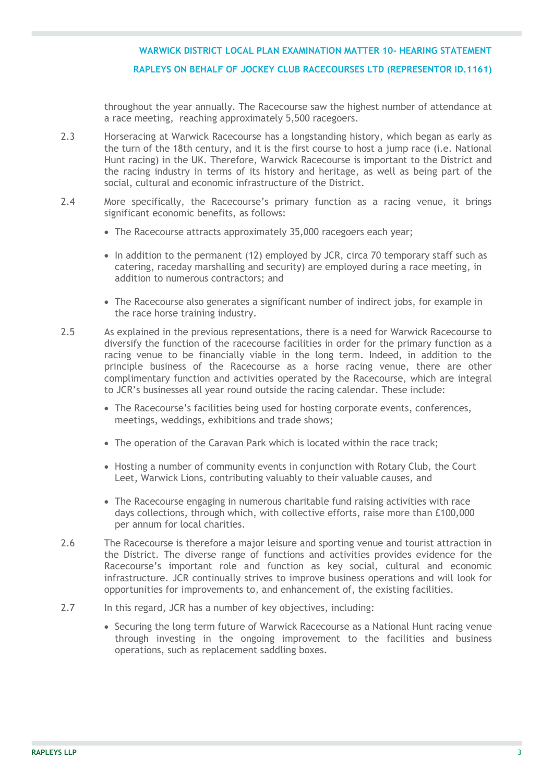throughout the year annually. The Racecourse saw the highest number of attendance at a race meeting, reaching approximately 5,500 racegoers.

- 2.3 Horseracing at Warwick Racecourse has a longstanding history, which began as early as the turn of the 18th century, and it is the first course to host a jump race (i.e. National Hunt racing) in the UK. Therefore, Warwick Racecourse is important to the District and the racing industry in terms of its history and heritage, as well as being part of the social, cultural and economic infrastructure of the District.
- 2.4 More specifically, the Racecourse's primary function as a racing venue, it brings significant economic benefits, as follows:
	- The Racecourse attracts approximately 35,000 racegoers each year;
	- In addition to the permanent (12) employed by JCR, circa 70 temporary staff such as catering, raceday marshalling and security) are employed during a race meeting, in addition to numerous contractors; and
	- The Racecourse also generates a significant number of indirect jobs, for example in the race horse training industry.
- 2.5 As explained in the previous representations, there is a need for Warwick Racecourse to diversify the function of the racecourse facilities in order for the primary function as a racing venue to be financially viable in the long term. Indeed, in addition to the principle business of the Racecourse as a horse racing venue, there are other complimentary function and activities operated by the Racecourse, which are integral to JCR's businesses all year round outside the racing calendar. These include:
	- The Racecourse's facilities being used for hosting corporate events, conferences, meetings, weddings, exhibitions and trade shows;
	- The operation of the Caravan Park which is located within the race track;
	- Hosting a number of community events in conjunction with Rotary Club, the Court Leet, Warwick Lions, contributing valuably to their valuable causes, and
	- The Racecourse engaging in numerous charitable fund raising activities with race days collections, through which, with collective efforts, raise more than £100,000 per annum for local charities.
- 2.6 The Racecourse is therefore a major leisure and sporting venue and tourist attraction in the District. The diverse range of functions and activities provides evidence for the Racecourse's important role and function as key social, cultural and economic infrastructure. JCR continually strives to improve business operations and will look for opportunities for improvements to, and enhancement of, the existing facilities.
- 2.7 In this regard, JCR has a number of key objectives, including:
	- Securing the long term future of Warwick Racecourse as a National Hunt racing venue through investing in the ongoing improvement to the facilities and business operations, such as replacement saddling boxes.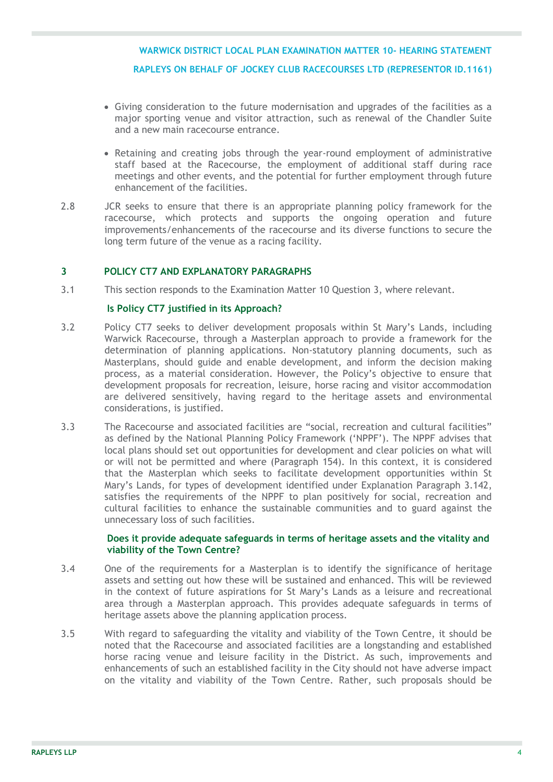- Giving consideration to the future modernisation and upgrades of the facilities as a major sporting venue and visitor attraction, such as renewal of the Chandler Suite and a new main racecourse entrance.
- Retaining and creating jobs through the year-round employment of administrative staff based at the Racecourse, the employment of additional staff during race meetings and other events, and the potential for further employment through future enhancement of the facilities.
- 2.8 JCR seeks to ensure that there is an appropriate planning policy framework for the racecourse, which protects and supports the ongoing operation and future improvements/enhancements of the racecourse and its diverse functions to secure the long term future of the venue as a racing facility.

### **3 POLICY CT7 AND EXPLANATORY PARAGRAPHS**

3.1 This section responds to the Examination Matter 10 Question 3, where relevant.

#### **Is Policy CT7 justified in its Approach?**

- 3.2 Policy CT7 seeks to deliver development proposals within St Mary's Lands, including Warwick Racecourse, through a Masterplan approach to provide a framework for the determination of planning applications. Non-statutory planning documents, such as Masterplans, should guide and enable development, and inform the decision making process, as a material consideration. However, the Policy's objective to ensure that development proposals for recreation, leisure, horse racing and visitor accommodation are delivered sensitively, having regard to the heritage assets and environmental considerations, is justified.
- 3.3 The Racecourse and associated facilities are "social, recreation and cultural facilities" as defined by the National Planning Policy Framework ('NPPF'). The NPPF advises that local plans should set out opportunities for development and clear policies on what will or will not be permitted and where (Paragraph 154). In this context, it is considered that the Masterplan which seeks to facilitate development opportunities within St Mary's Lands, for types of development identified under Explanation Paragraph 3.142, satisfies the requirements of the NPPF to plan positively for social, recreation and cultural facilities to enhance the sustainable communities and to guard against the unnecessary loss of such facilities.

### **Does it provide adequate safeguards in terms of heritage assets and the vitality and viability of the Town Centre?**

- 3.4 One of the requirements for a Masterplan is to identify the significance of heritage assets and setting out how these will be sustained and enhanced. This will be reviewed in the context of future aspirations for St Mary's Lands as a leisure and recreational area through a Masterplan approach. This provides adequate safeguards in terms of heritage assets above the planning application process.
- 3.5 With regard to safeguarding the vitality and viability of the Town Centre, it should be noted that the Racecourse and associated facilities are a longstanding and established horse racing venue and leisure facility in the District. As such, improvements and enhancements of such an established facility in the City should not have adverse impact on the vitality and viability of the Town Centre. Rather, such proposals should be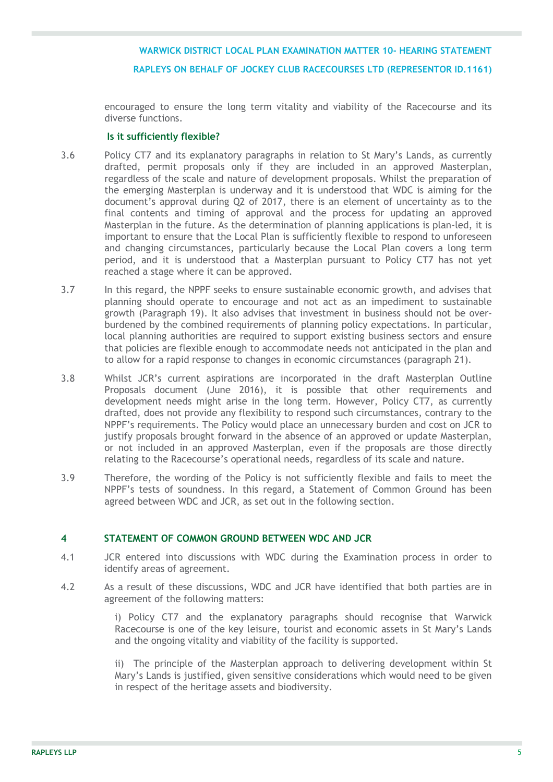encouraged to ensure the long term vitality and viability of the Racecourse and its diverse functions.

### **Is it sufficiently flexible?**

- 3.6 Policy CT7 and its explanatory paragraphs in relation to St Mary's Lands, as currently drafted, permit proposals only if they are included in an approved Masterplan, regardless of the scale and nature of development proposals. Whilst the preparation of the emerging Masterplan is underway and it is understood that WDC is aiming for the document's approval during Q2 of 2017, there is an element of uncertainty as to the final contents and timing of approval and the process for updating an approved Masterplan in the future. As the determination of planning applications is plan-led, it is important to ensure that the Local Plan is sufficiently flexible to respond to unforeseen and changing circumstances, particularly because the Local Plan covers a long term period, and it is understood that a Masterplan pursuant to Policy CT7 has not yet reached a stage where it can be approved.
- 3.7 In this regard, the NPPF seeks to ensure sustainable economic growth, and advises that planning should operate to encourage and not act as an impediment to sustainable growth (Paragraph 19). It also advises that investment in business should not be overburdened by the combined requirements of planning policy expectations. In particular, local planning authorities are required to support existing business sectors and ensure that policies are flexible enough to accommodate needs not anticipated in the plan and to allow for a rapid response to changes in economic circumstances (paragraph 21).
- 3.8 Whilst JCR's current aspirations are incorporated in the draft Masterplan Outline Proposals document (June 2016), it is possible that other requirements and development needs might arise in the long term. However, Policy CT7, as currently drafted, does not provide any flexibility to respond such circumstances, contrary to the NPPF's requirements. The Policy would place an unnecessary burden and cost on JCR to justify proposals brought forward in the absence of an approved or update Masterplan, or not included in an approved Masterplan, even if the proposals are those directly relating to the Racecourse's operational needs, regardless of its scale and nature.
- 3.9 Therefore, the wording of the Policy is not sufficiently flexible and fails to meet the NPPF's tests of soundness. In this regard, a Statement of Common Ground has been agreed between WDC and JCR, as set out in the following section.

### **4 STATEMENT OF COMMON GROUND BETWEEN WDC AND JCR**

- 4.1 JCR entered into discussions with WDC during the Examination process in order to identify areas of agreement.
- 4.2 As a result of these discussions, WDC and JCR have identified that both parties are in agreement of the following matters:

i) Policy CT7 and the explanatory paragraphs should recognise that Warwick Racecourse is one of the key leisure, tourist and economic assets in St Mary's Lands and the ongoing vitality and viability of the facility is supported.

ii) The principle of the Masterplan approach to delivering development within St Mary's Lands is justified, given sensitive considerations which would need to be given in respect of the heritage assets and biodiversity.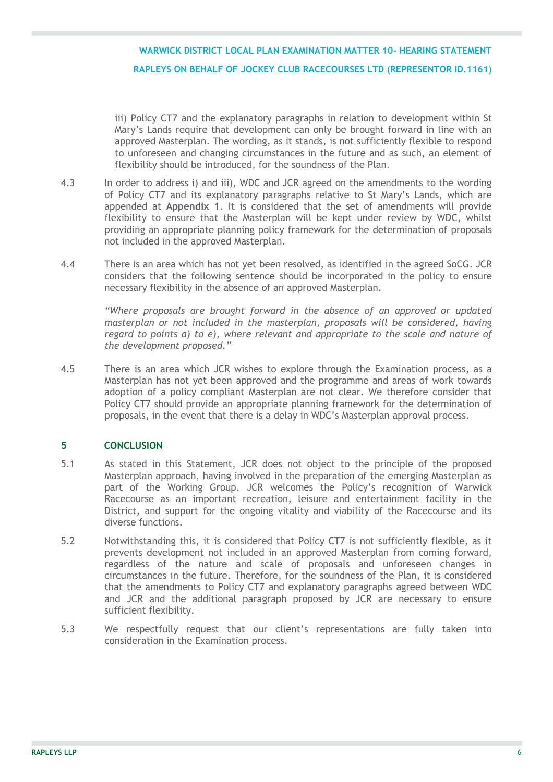iii) Policy CT7 and the explanatory paragraphs in relation to development within St Mary's Lands require that development can only be brought forward in line with an approved Masterplan. The wording, as it stands, is not sufficiently flexible to respond to unforeseen and changing circumstances in the future and as such, an element of flexibility should be introduced, for the soundness of the Plan.

- 4.3 In order to address i) and iii), WDC and JCR agreed on the amendments to the wording of Policy CT7 and its explanatory paragraphs relative to St Mary's Lands, which are appended at **Appendix 1**. It is considered that the set of amendments will provide flexibility to ensure that the Masterplan will be kept under review by WDC, whilst providing an appropriate planning policy framework for the determination of proposals not included in the approved Masterplan.
- 4.4 There is an area which has not yet been resolved, as identified in the agreed SoCG. JCR considers that the following sentence should be incorporated in the policy to ensure necessary flexibility in the absence of an approved Masterplan.

*"Where proposals are brought forward in the absence of an approved or updated masterplan or not included in the masterplan, proposals will be considered, having regard to points a) to e), where relevant and appropriate to the scale and nature of the development proposed."*

4.5 There is an area which JCR wishes to explore through the Examination process, as a Masterplan has not yet been approved and the programme and areas of work towards adoption of a policy compliant Masterplan are not clear. We therefore consider that Policy CT7 should provide an appropriate planning framework for the determination of proposals, in the event that there is a delay in WDC's Masterplan approval process.

### **5 CONCLUSION**

- 5.1 As stated in this Statement, JCR does not object to the principle of the proposed Masterplan approach, having involved in the preparation of the emerging Masterplan as part of the Working Group. JCR welcomes the Policy's recognition of Warwick Racecourse as an important recreation, leisure and entertainment facility in the District, and support for the ongoing vitality and viability of the Racecourse and its diverse functions.
- 5.2 Notwithstanding this, it is considered that Policy CT7 is not sufficiently flexible, as it prevents development not included in an approved Masterplan from coming forward, regardless of the nature and scale of proposals and unforeseen changes in circumstances in the future. Therefore, for the soundness of the Plan, it is considered that the amendments to Policy CT7 and explanatory paragraphs agreed between WDC and JCR and the additional paragraph proposed by JCR are necessary to ensure sufficient flexibility.
- 5.3 We respectfully request that our client's representations are fully taken into consideration in the Examination process.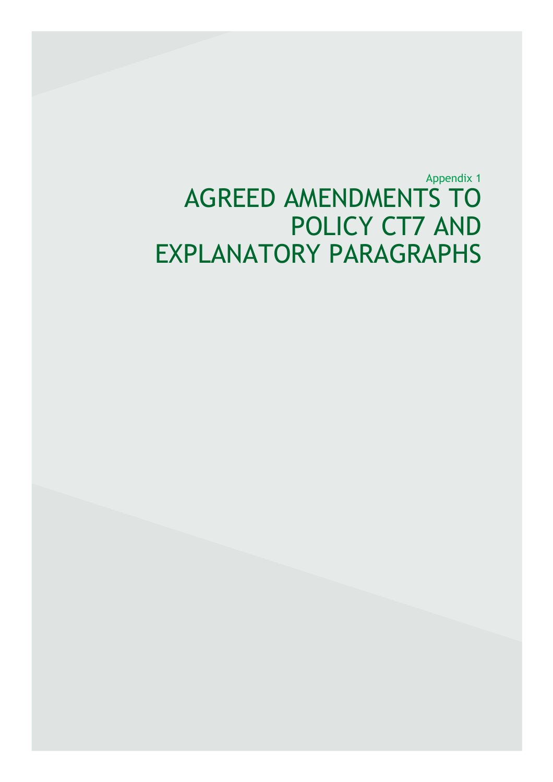Appendix 1 AGREED AMENDMENTS TO POLICY CT7 AND EXPLANATORY PARAGRAPHS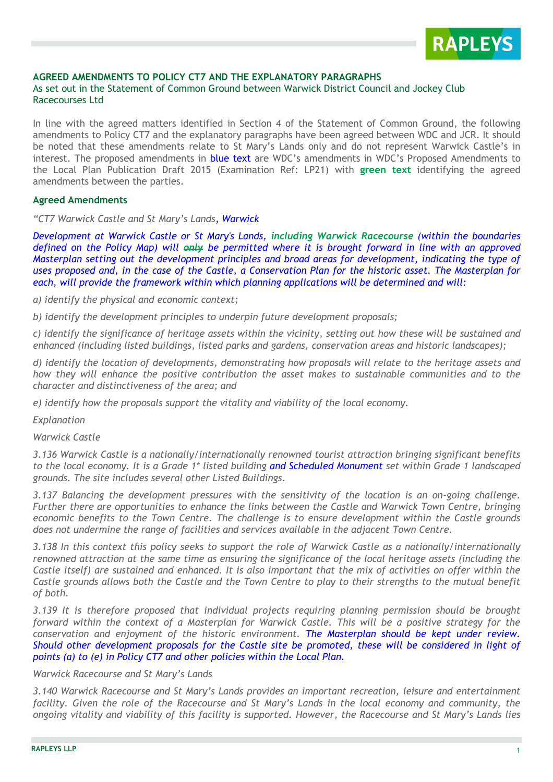

### **AGREED AMENDMENTS TO POLICY CT7 AND THE EXPLANATORY PARAGRAPHS**

### As set out in the Statement of Common Ground between Warwick District Council and Jockey Club Racecourses Ltd

In line with the agreed matters identified in Section 4 of the Statement of Common Ground, the following amendments to Policy CT7 and the explanatory paragraphs have been agreed between WDC and JCR. It should be noted that these amendments relate to St Mary's Lands only and do not represent Warwick Castle's in interest. The proposed amendments in blue text are WDC's amendments in WDC's Proposed Amendments to the Local Plan Publication Draft 2015 (Examination Ref: LP21) with **green text** identifying the agreed amendments between the parties.

#### **Agreed Amendments**

*"CT7 Warwick Castle and St Mary's Lands, Warwick*

*Development at Warwick Castle or St Mary's Lands, including Warwick Racecourse (within the boundaries defined on the Policy Map) will only be permitted where it is brought forward in line with an approved Masterplan setting out the development principles and broad areas for development, indicating the type of uses proposed and, in the case of the Castle, a Conservation Plan for the historic asset. The Masterplan for each, will provide the framework within which planning applications will be determined and will:* 

*a) identify the physical and economic context;*

*b) identify the development principles to underpin future development proposals;*

*c) identify the significance of heritage assets within the vicinity, setting out how these will be sustained and enhanced (including listed buildings, listed parks and gardens, conservation areas and historic landscapes);*

*d) identify the location of developments, demonstrating how proposals will relate to the heritage assets and how they will enhance the positive contribution the asset makes to sustainable communities and to the character and distinctiveness of the area; and*

*e) identify how the proposals support the vitality and viability of the local economy.*

*Explanation* 

#### *Warwick Castle*

*3.136 Warwick Castle is a nationally/internationally renowned tourist attraction bringing significant benefits to the local economy. It is a Grade 1\* listed building and Scheduled Monument set within Grade 1 landscaped grounds. The site includes several other Listed Buildings.*

*3.137 Balancing the development pressures with the sensitivity of the location is an on-going challenge. Further there are opportunities to enhance the links between the Castle and Warwick Town Centre, bringing economic benefits to the Town Centre. The challenge is to ensure development within the Castle grounds does not undermine the range of facilities and services available in the adjacent Town Centre.*

*3.138 In this context this policy seeks to support the role of Warwick Castle as a nationally/internationally renowned attraction at the same time as ensuring the significance of the local heritage assets (including the Castle itself) are sustained and enhanced. It is also important that the mix of activities on offer within the Castle grounds allows both the Castle and the Town Centre to play to their strengths to the mutual benefit of both.*

*3.139 It is therefore proposed that individual projects requiring planning permission should be brought forward within the context of a Masterplan for Warwick Castle. This will be a positive strategy for the conservation and enjoyment of the historic environment. The Masterplan should be kept under review. Should other development proposals for the Castle site be promoted, these will be considered in light of points (a) to (e) in Policy CT7 and other policies within the Local Plan.*

#### *Warwick Racecourse and St Mary's Lands*

*3.140 Warwick Racecourse and St Mary's Lands provides an important recreation, leisure and entertainment facility. Given the role of the Racecourse and St Mary's Lands in the local economy and community, the ongoing vitality and viability of this facility is supported. However, the Racecourse and St Mary's Lands lies*